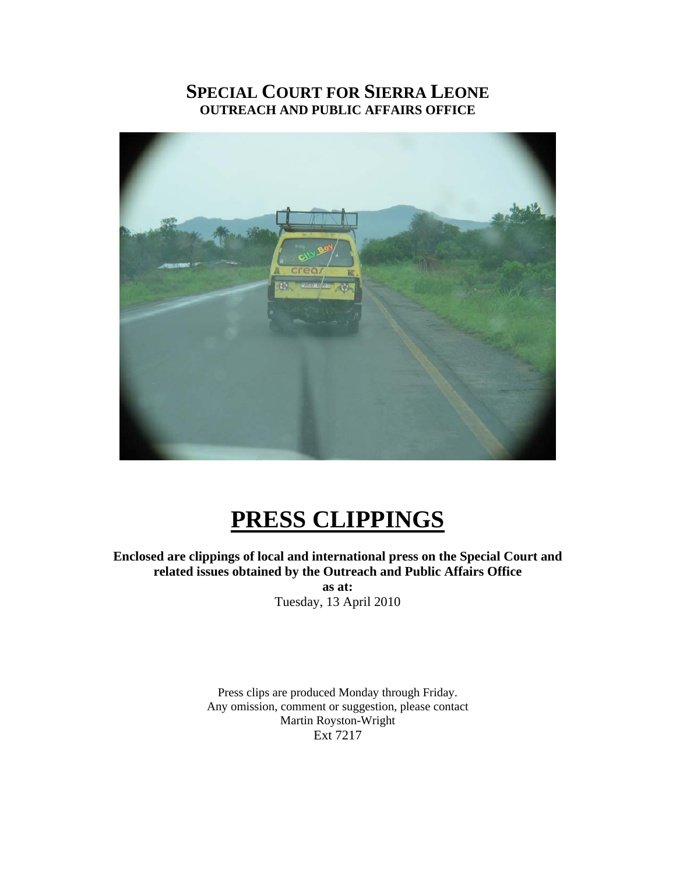# **SPECIAL COURT FOR SIERRA LEONE OUTREACH AND PUBLIC AFFAIRS OFFICE**



# **PRESS CLIPPINGS**

**Enclosed are clippings of local and international press on the Special Court and related issues obtained by the Outreach and Public Affairs Office as at:** 

Tuesday, 13 April 2010

Press clips are produced Monday through Friday. Any omission, comment or suggestion, please contact Martin Royston-Wright Ext 7217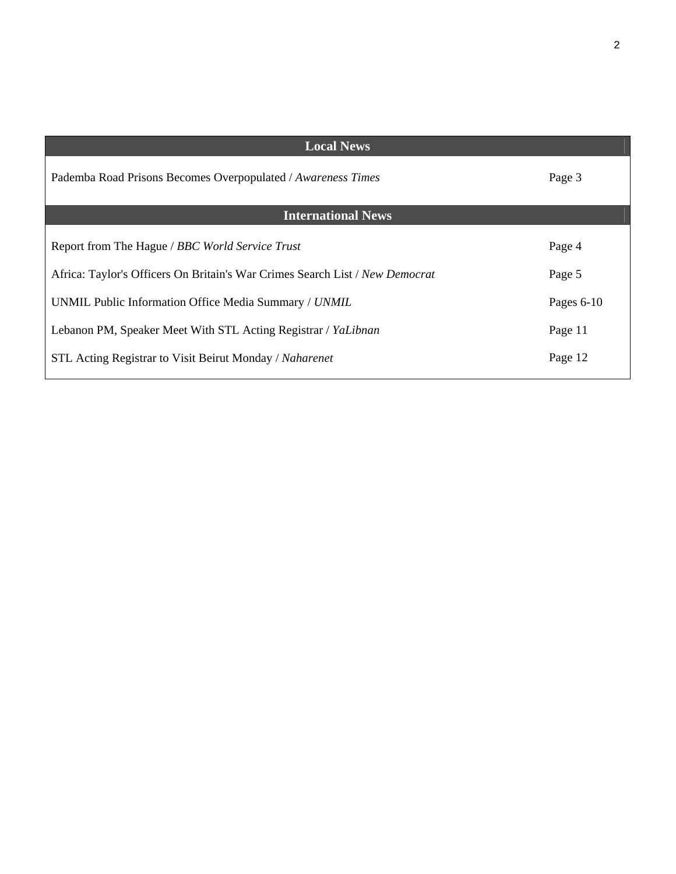| <b>Local News</b>                                                            |              |
|------------------------------------------------------------------------------|--------------|
| Pademba Road Prisons Becomes Overpopulated / Awareness Times                 | Page 3       |
| <b>International News</b>                                                    |              |
| Report from The Hague / BBC World Service Trust                              | Page 4       |
| Africa: Taylor's Officers On Britain's War Crimes Search List / New Democrat | Page 5       |
| UNMIL Public Information Office Media Summary / UNMIL                        | Pages $6-10$ |
| Lebanon PM, Speaker Meet With STL Acting Registrar / YaLibnan                | Page 11      |
| STL Acting Registrar to Visit Beirut Monday / Naharenet                      | Page 12      |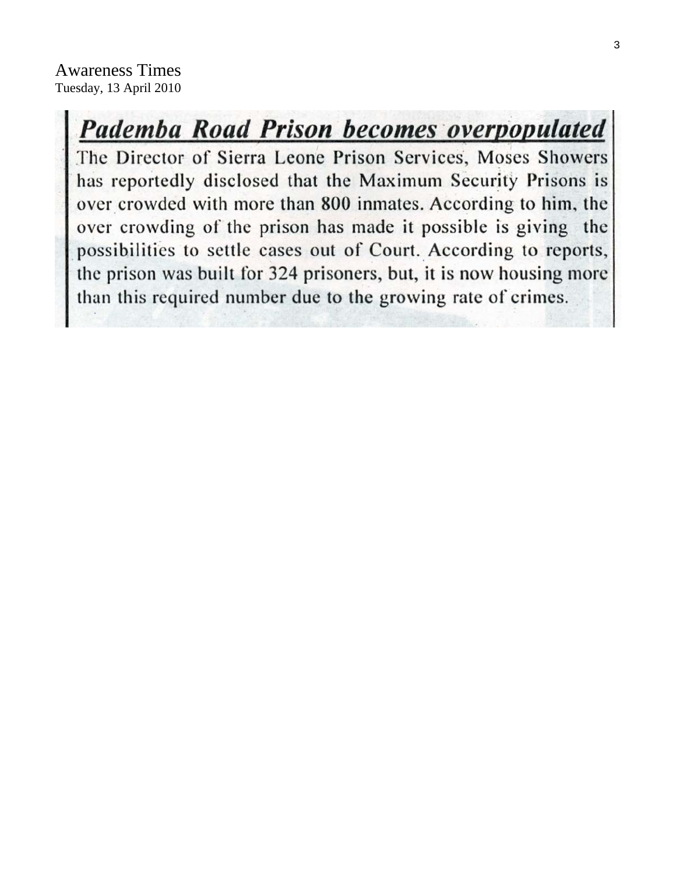# **Pademba Road Prison becomes overpopulated**

The Director of Sierra Leone Prison Services, Moses Showers has reportedly disclosed that the Maximum Security Prisons is over crowded with more than 800 inmates. According to him, the over crowding of the prison has made it possible is giving the possibilities to settle cases out of Court. According to reports, the prison was built for 324 prisoners, but, it is now housing more than this required number due to the growing rate of crimes.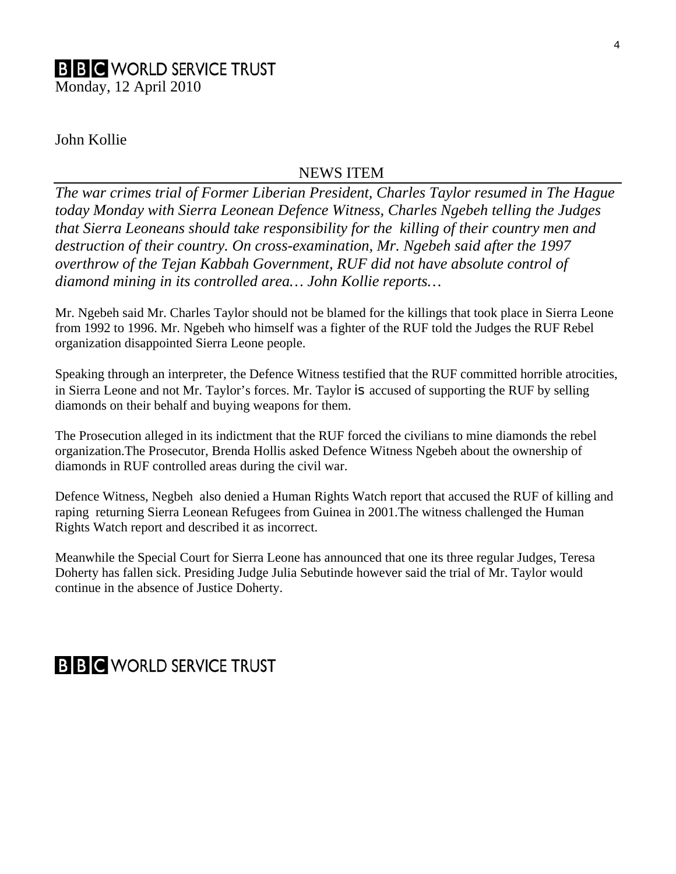# **B B C** WORLD SERVICE TRUST Monday, 12 April 2010

# John Kollie

## NEWS ITEM

*The war crimes trial of Former Liberian President, Charles Taylor resumed in The Hague today Monday with Sierra Leonean Defence Witness, Charles Ngebeh telling the Judges that Sierra Leoneans should take responsibility for the killing of their country men and destruction of their country. On cross-examination, Mr. Ngebeh said after the 1997 overthrow of the Tejan Kabbah Government, RUF did not have absolute control of diamond mining in its controlled area… John Kollie reports…* 

Mr. Ngebeh said Mr. Charles Taylor should not be blamed for the killings that took place in Sierra Leone from 1992 to 1996. Mr. Ngebeh who himself was a fighter of the RUF told the Judges the RUF Rebel organization disappointed Sierra Leone people.

Speaking through an interpreter, the Defence Witness testified that the RUF committed horrible atrocities, in Sierra Leone and not Mr. Taylor's forces. Mr. Taylor is accused of supporting the RUF by selling diamonds on their behalf and buying weapons for them.

The Prosecution alleged in its indictment that the RUF forced the civilians to mine diamonds the rebel organization.The Prosecutor, Brenda Hollis asked Defence Witness Ngebeh about the ownership of diamonds in RUF controlled areas during the civil war.

Defence Witness, Negbeh also denied a Human Rights Watch report that accused the RUF of killing and raping returning Sierra Leonean Refugees from Guinea in 2001.The witness challenged the Human Rights Watch report and described it as incorrect.

Meanwhile the Special Court for Sierra Leone has announced that one its three regular Judges, Teresa Doherty has fallen sick. Presiding Judge Julia Sebutinde however said the trial of Mr. Taylor would continue in the absence of Justice Doherty.

# **B B C** WORLD SERVICE TRUST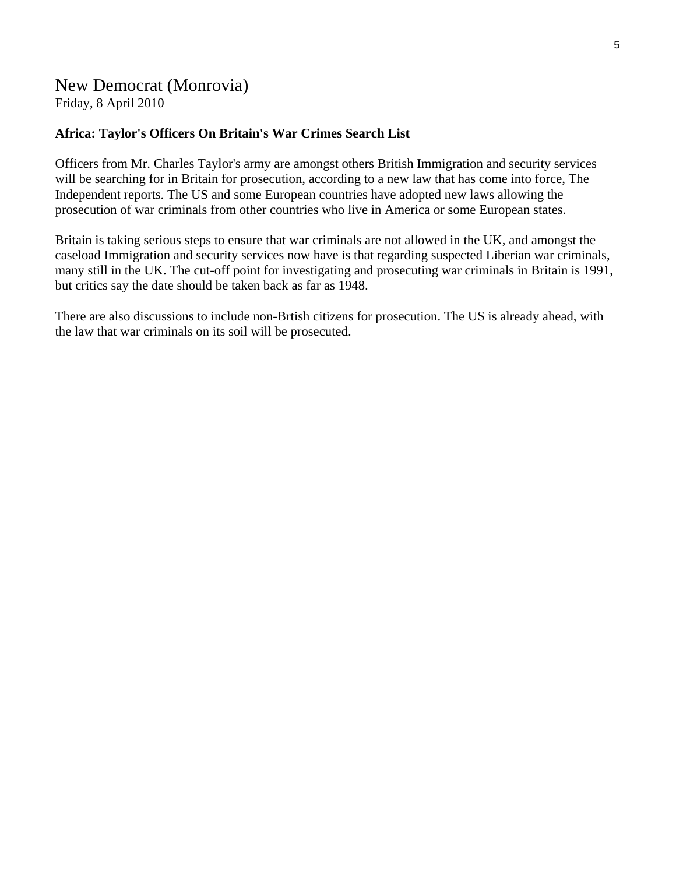# New Democrat (Monrovia)

Friday, 8 April 2010

## **Africa: Taylor's Officers On Britain's War Crimes Search List**

Officers from Mr. Charles Taylor's army are amongst others British Immigration and security services will be searching for in Britain for prosecution, according to a new law that has come into force, The Independent reports. The US and some European countries have adopted new laws allowing the prosecution of war criminals from other countries who live in America or some European states.

Britain is taking serious steps to ensure that war criminals are not allowed in the UK, and amongst the caseload Immigration and security services now have is that regarding suspected Liberian war criminals, many still in the UK. The cut-off point for investigating and prosecuting war criminals in Britain is 1991, but critics say the date should be taken back as far as 1948.

There are also discussions to include non-Brtish citizens for prosecution. The US is already ahead, with the law that war criminals on its soil will be prosecuted.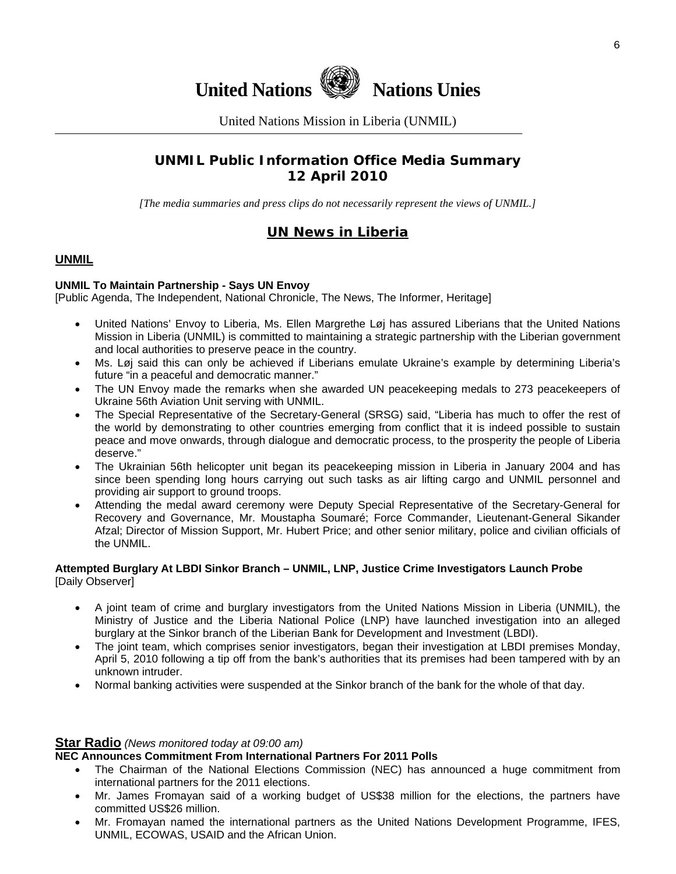

United Nations Mission in Liberia (UNMIL)

# **UNMIL Public Information Office Media Summary 12 April 2010**

*[The media summaries and press clips do not necessarily represent the views of UNMIL.]* 

# **UN News in Liberia**

#### **UNMIL**

#### **UNMIL To Maintain Partnership - Says UN Envoy**

[Public Agenda, The Independent, National Chronicle, The News, The Informer, Heritage]

- United Nations' Envoy to Liberia, Ms. Ellen Margrethe Løj has assured Liberians that the United Nations Mission in Liberia (UNMIL) is committed to maintaining a strategic partnership with the Liberian government and local authorities to preserve peace in the country.
- Ms. Løj said this can only be achieved if Liberians emulate Ukraine's example by determining Liberia's future "in a peaceful and democratic manner."
- The UN Envoy made the remarks when she awarded UN peacekeeping medals to 273 peacekeepers of Ukraine 56th Aviation Unit serving with UNMIL.
- The Special Representative of the Secretary-General (SRSG) said, "Liberia has much to offer the rest of the world by demonstrating to other countries emerging from conflict that it is indeed possible to sustain peace and move onwards, through dialogue and democratic process, to the prosperity the people of Liberia deserve."
- The Ukrainian 56th helicopter unit began its peacekeeping mission in Liberia in January 2004 and has since been spending long hours carrying out such tasks as air lifting cargo and UNMIL personnel and providing air support to ground troops.
- Attending the medal award ceremony were Deputy Special Representative of the Secretary-General for Recovery and Governance, Mr. Moustapha Soumaré; Force Commander, Lieutenant-General Sikander Afzal; Director of Mission Support, Mr. Hubert Price; and other senior military, police and civilian officials of the UNMIL.

#### **Attempted Burglary At LBDI Sinkor Branch – UNMIL, LNP, Justice Crime Investigators Launch Probe**  [Daily Observer]

- A joint team of crime and burglary investigators from the United Nations Mission in Liberia (UNMIL), the Ministry of Justice and the Liberia National Police (LNP) have launched investigation into an alleged burglary at the Sinkor branch of the Liberian Bank for Development and Investment (LBDI).
- The joint team, which comprises senior investigators, began their investigation at LBDI premises Monday, April 5, 2010 following a tip off from the bank's authorities that its premises had been tampered with by an unknown intruder.
- Normal banking activities were suspended at the Sinkor branch of the bank for the whole of that day.

#### **Star Radio** *(News monitored today at 09:00 am)*

#### **NEC Announces Commitment From International Partners For 2011 Polls**

- The Chairman of the National Elections Commission (NEC) has announced a huge commitment from international partners for the 2011 elections.
- Mr. James Fromayan said of a working budget of US\$38 million for the elections, the partners have committed US\$26 million.
- Mr. Fromayan named the international partners as the United Nations Development Programme, IFES, UNMIL, ECOWAS, USAID and the African Union.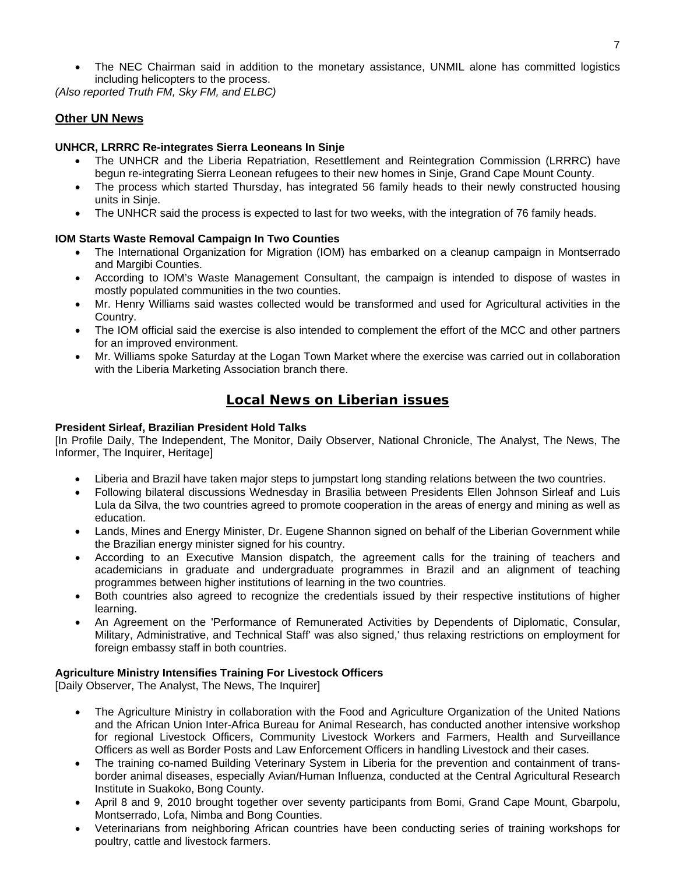The NEC Chairman said in addition to the monetary assistance, UNMIL alone has committed logistics including helicopters to the process.

*(Also reported Truth FM, Sky FM, and ELBC)* 

#### **Other UN News**

#### **UNHCR, LRRRC Re-integrates Sierra Leoneans In Sinje**

- The UNHCR and the Liberia Repatriation, Resettlement and Reintegration Commission (LRRRC) have begun re-integrating Sierra Leonean refugees to their new homes in Sinje, Grand Cape Mount County.
- The process which started Thursday, has integrated 56 family heads to their newly constructed housing units in Sinje.
- The UNHCR said the process is expected to last for two weeks, with the integration of 76 family heads.

#### **IOM Starts Waste Removal Campaign In Two Counties**

- The International Organization for Migration (IOM) has embarked on a cleanup campaign in Montserrado and Margibi Counties.
- According to IOM's Waste Management Consultant, the campaign is intended to dispose of wastes in mostly populated communities in the two counties.
- Mr. Henry Williams said wastes collected would be transformed and used for Agricultural activities in the Country.
- The IOM official said the exercise is also intended to complement the effort of the MCC and other partners for an improved environment.
- Mr. Williams spoke Saturday at the Logan Town Market where the exercise was carried out in collaboration with the Liberia Marketing Association branch there.

### **Local News on Liberian issues**

#### **President Sirleaf, Brazilian President Hold Talks**

[In Profile Daily, The Independent, The Monitor, Daily Observer, National Chronicle, The Analyst, The News, The Informer, The Inquirer, Heritage]

- Liberia and Brazil have taken major steps to jumpstart long standing relations between the two countries.
- Following bilateral discussions Wednesday in Brasilia between Presidents Ellen Johnson Sirleaf and Luis Lula da Silva, the two countries agreed to promote cooperation in the areas of energy and mining as well as education.
- Lands, Mines and Energy Minister, Dr. Eugene Shannon signed on behalf of the Liberian Government while the Brazilian energy minister signed for his country.
- According to an Executive Mansion dispatch, the agreement calls for the training of teachers and academicians in graduate and undergraduate programmes in Brazil and an alignment of teaching programmes between higher institutions of learning in the two countries.
- Both countries also agreed to recognize the credentials issued by their respective institutions of higher learning.
- An Agreement on the 'Performance of Remunerated Activities by Dependents of Diplomatic, Consular, Military, Administrative, and Technical Staff' was also signed,' thus relaxing restrictions on employment for foreign embassy staff in both countries.

#### **Agriculture Ministry Intensifies Training For Livestock Officers**

[Daily Observer, The Analyst, The News, The Inquirer]

- The Agriculture Ministry in collaboration with the Food and Agriculture Organization of the United Nations and the African Union Inter-Africa Bureau for Animal Research, has conducted another intensive workshop for regional Livestock Officers, Community Livestock Workers and Farmers, Health and Surveillance Officers as well as Border Posts and Law Enforcement Officers in handling Livestock and their cases.
- The training co-named Building Veterinary System in Liberia for the prevention and containment of transborder animal diseases, especially Avian/Human Influenza, conducted at the Central Agricultural Research Institute in Suakoko, Bong County.
- April 8 and 9, 2010 brought together over seventy participants from Bomi, Grand Cape Mount, Gbarpolu, Montserrado, Lofa, Nimba and Bong Counties.
- Veterinarians from neighboring African countries have been conducting series of training workshops for poultry, cattle and livestock farmers.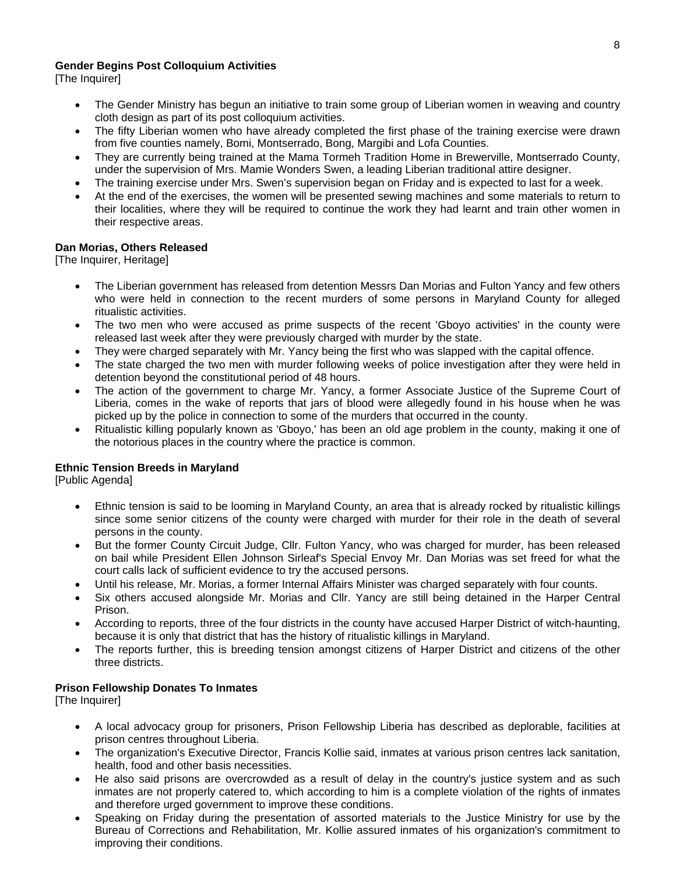#### **Gender Begins Post Colloquium Activities**

[The Inquirer]

- The Gender Ministry has begun an initiative to train some group of Liberian women in weaving and country cloth design as part of its post colloquium activities.
- The fifty Liberian women who have already completed the first phase of the training exercise were drawn from five counties namely, Bomi, Montserrado, Bong, Margibi and Lofa Counties.
- They are currently being trained at the Mama Tormeh Tradition Home in Brewerville, Montserrado County, under the supervision of Mrs. Mamie Wonders Swen, a leading Liberian traditional attire designer.
- The training exercise under Mrs. Swen's supervision began on Friday and is expected to last for a week.
- At the end of the exercises, the women will be presented sewing machines and some materials to return to their localities, where they will be required to continue the work they had learnt and train other women in their respective areas.

#### **Dan Morias, Others Released**

[The Inquirer, Heritage]

- The Liberian government has released from detention Messrs Dan Morias and Fulton Yancy and few others who were held in connection to the recent murders of some persons in Maryland County for alleged ritualistic activities.
- The two men who were accused as prime suspects of the recent 'Gboyo activities' in the county were released last week after they were previously charged with murder by the state.
- They were charged separately with Mr. Yancy being the first who was slapped with the capital offence.
- The state charged the two men with murder following weeks of police investigation after they were held in detention beyond the constitutional period of 48 hours.
- The action of the government to charge Mr. Yancy, a former Associate Justice of the Supreme Court of Liberia, comes in the wake of reports that jars of blood were allegedly found in his house when he was picked up by the police in connection to some of the murders that occurred in the county.
- Ritualistic killing popularly known as 'Gboyo,' has been an old age problem in the county, making it one of the notorious places in the country where the practice is common.

#### **Ethnic Tension Breeds in Maryland**

[Public Agenda]

- Ethnic tension is said to be looming in Maryland County, an area that is already rocked by ritualistic killings since some senior citizens of the county were charged with murder for their role in the death of several persons in the county.
- But the former County Circuit Judge, Cllr. Fulton Yancy, who was charged for murder, has been released on bail while President Ellen Johnson Sirleaf's Special Envoy Mr. Dan Morias was set freed for what the court calls lack of sufficient evidence to try the accused persons.
- Until his release, Mr. Morias, a former Internal Affairs Minister was charged separately with four counts.
- Six others accused alongside Mr. Morias and Cllr. Yancy are still being detained in the Harper Central Prison.
- According to reports, three of the four districts in the county have accused Harper District of witch-haunting, because it is only that district that has the history of ritualistic killings in Maryland.
- The reports further, this is breeding tension amongst citizens of Harper District and citizens of the other three districts.

#### **Prison Fellowship Donates To Inmates**

[The Inquirer]

- A local advocacy group for prisoners, Prison Fellowship Liberia has described as deplorable, facilities at prison centres throughout Liberia.
- The organization's Executive Director, Francis Kollie said, inmates at various prison centres lack sanitation, health, food and other basis necessities.
- He also said prisons are overcrowded as a result of delay in the country's justice system and as such inmates are not properly catered to, which according to him is a complete violation of the rights of inmates and therefore urged government to improve these conditions.
- Speaking on Friday during the presentation of assorted materials to the Justice Ministry for use by the Bureau of Corrections and Rehabilitation, Mr. Kollie assured inmates of his organization's commitment to improving their conditions.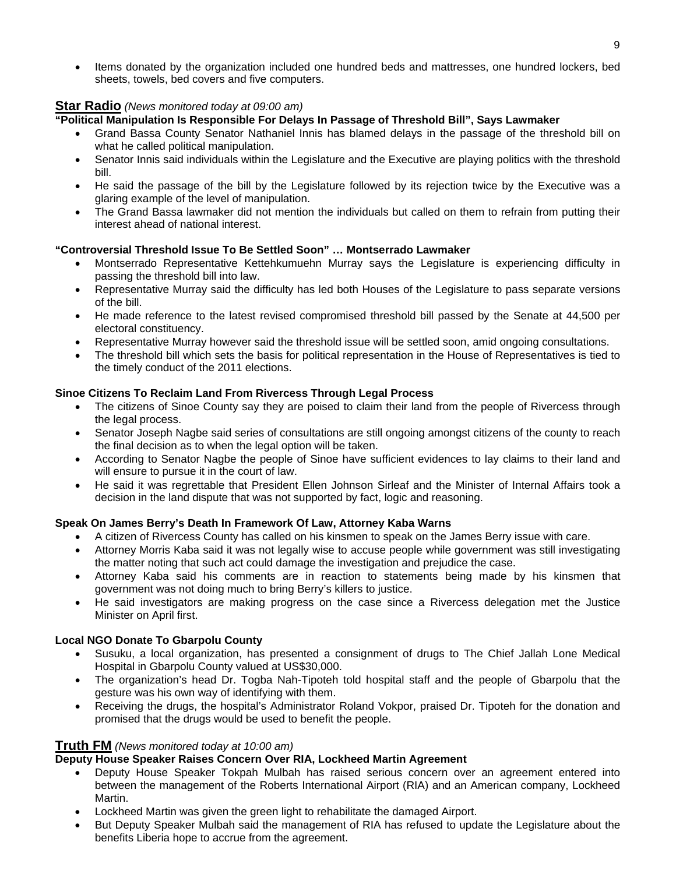• Items donated by the organization included one hundred beds and mattresses, one hundred lockers, bed sheets, towels, bed covers and five computers.

#### **Star Radio** *(News monitored today at 09:00 am)*

#### **"Political Manipulation Is Responsible For Delays In Passage of Threshold Bill", Says Lawmaker**

- Grand Bassa County Senator Nathaniel Innis has blamed delays in the passage of the threshold bill on what he called political manipulation.
- Senator Innis said individuals within the Legislature and the Executive are playing politics with the threshold bill.
- He said the passage of the bill by the Legislature followed by its rejection twice by the Executive was a glaring example of the level of manipulation.
- The Grand Bassa lawmaker did not mention the individuals but called on them to refrain from putting their interest ahead of national interest.

#### **"Controversial Threshold Issue To Be Settled Soon" … Montserrado Lawmaker**

- Montserrado Representative Kettehkumuehn Murray says the Legislature is experiencing difficulty in passing the threshold bill into law.
- Representative Murray said the difficulty has led both Houses of the Legislature to pass separate versions of the bill.
- He made reference to the latest revised compromised threshold bill passed by the Senate at 44,500 per electoral constituency.
- Representative Murray however said the threshold issue will be settled soon, amid ongoing consultations.
- The threshold bill which sets the basis for political representation in the House of Representatives is tied to the timely conduct of the 2011 elections.

#### **Sinoe Citizens To Reclaim Land From Rivercess Through Legal Process**

- The citizens of Sinoe County say they are poised to claim their land from the people of Rivercess through the legal process.
- Senator Joseph Nagbe said series of consultations are still ongoing amongst citizens of the county to reach the final decision as to when the legal option will be taken.
- According to Senator Nagbe the people of Sinoe have sufficient evidences to lay claims to their land and will ensure to pursue it in the court of law.
- He said it was regrettable that President Ellen Johnson Sirleaf and the Minister of Internal Affairs took a decision in the land dispute that was not supported by fact, logic and reasoning.

#### **Speak On James Berry's Death In Framework Of Law, Attorney Kaba Warns**

- A citizen of Rivercess County has called on his kinsmen to speak on the James Berry issue with care.
- Attorney Morris Kaba said it was not legally wise to accuse people while government was still investigating the matter noting that such act could damage the investigation and prejudice the case.
- Attorney Kaba said his comments are in reaction to statements being made by his kinsmen that government was not doing much to bring Berry's killers to justice.
- He said investigators are making progress on the case since a Rivercess delegation met the Justice Minister on April first.

#### **Local NGO Donate To Gbarpolu County**

- Susuku, a local organization, has presented a consignment of drugs to The Chief Jallah Lone Medical Hospital in Gbarpolu County valued at US\$30,000.
- The organization's head Dr. Togba Nah-Tipoteh told hospital staff and the people of Gbarpolu that the gesture was his own way of identifying with them.
- Receiving the drugs, the hospital's Administrator Roland Vokpor, praised Dr. Tipoteh for the donation and promised that the drugs would be used to benefit the people.

#### **Truth FM** *(News monitored today at 10:00 am)*

#### **Deputy House Speaker Raises Concern Over RIA, Lockheed Martin Agreement**

- Deputy House Speaker Tokpah Mulbah has raised serious concern over an agreement entered into between the management of the Roberts International Airport (RIA) and an American company, Lockheed Martin.
- Lockheed Martin was given the green light to rehabilitate the damaged Airport.
- But Deputy Speaker Mulbah said the management of RIA has refused to update the Legislature about the benefits Liberia hope to accrue from the agreement.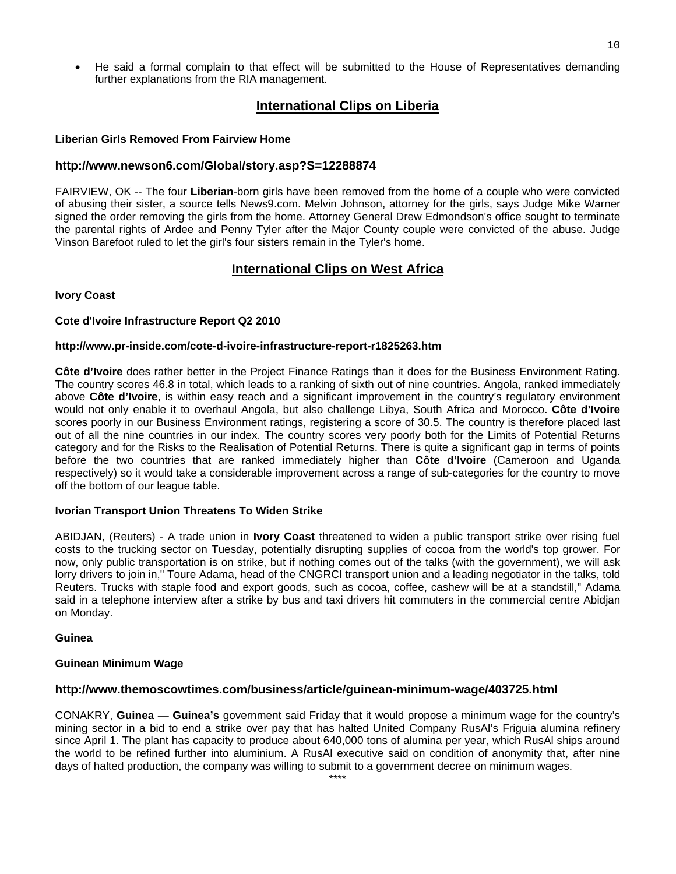• He said a formal complain to that effect will be submitted to the House of Representatives demanding further explanations from the RIA management.

#### **International Clips on Liberia**

#### **Liberian Girls Removed From Fairview Home**

#### **<http://www.newson6.com/Global/story.asp?S=12288874>**

FAIRVIEW, OK -- The four **Liberian**-born girls have been removed from the home of a couple who were convicted of abusing their sister, a source tells News9.com. Melvin Johnson, attorney for the girls, says Judge Mike Warner signed the order removing the girls from the home. Attorney General Drew Edmondson's office sought to terminate the parental rights of Ardee and Penny Tyler after the Major County couple were convicted of the abuse. Judge Vinson Barefoot ruled to let the girl's four sisters remain in the Tyler's home.

#### **International Clips on West Africa**

#### **Ivory Coast**

#### **Cote d'Ivoire Infrastructure Report Q2 2010**

#### **<http://www.pr-inside.com/cote-d-ivoire-infrastructure-report-r1825263.htm>**

**Côte d'Ivoire** does rather better in the Project Finance Ratings than it does for the Business Environment Rating. The country scores 46.8 in total, which leads to a ranking of sixth out of nine countries. Angola, ranked immediately above **Côte d'Ivoire**, is within easy reach and a significant improvement in the country's regulatory environment would not only enable it to overhaul Angola, but also challenge Libya, South Africa and Morocco. **Côte d'Ivoire** scores poorly in our Business Environment ratings, registering a score of 30.5. The country is therefore placed last out of all the nine countries in our index. The country scores very poorly both for the Limits of Potential Returns category and for the Risks to the Realisation of Potential Returns. There is quite a significant gap in terms of points before the two countries that are ranked immediately higher than **Côte d'Ivoire** (Cameroon and Uganda respectively) so it would take a considerable improvement across a range of sub-categories for the country to move off the bottom of our league table.

#### **Ivorian Transport Union Threatens To Widen Strike**

ABIDJAN, (Reuters) - A trade union in **Ivory Coast** threatened to widen a public transport strike over rising fuel costs to the trucking sector on Tuesday, potentially disrupting supplies of cocoa from the world's top grower. For now, only public transportation is on strike, but if nothing comes out of the talks (with the government), we will ask lorry drivers to join in," Toure Adama, head of the CNGRCI transport union and a leading negotiator in the talks, told Reuters. Trucks with staple food and export goods, such as cocoa, coffee, cashew will be at a standstill," Adama said in a telephone interview after a strike by bus and taxi drivers hit commuters in the commercial centre Abidjan on Monday.

#### **Guinea**

#### **Guinean Minimum Wage**

#### **<http://www.themoscowtimes.com/business/article/guinean-minimum-wage/403725.html>**

CONAKRY, **Guinea** — **Guinea's** government said Friday that it would propose a minimum wage for the country's mining sector in a bid to end a strike over pay that has halted United Company RusAl's Friguia alumina refinery since April 1. The plant has capacity to produce about 640,000 tons of alumina per year, which RusAl ships around the world to be refined further into aluminium. A RusAl executive said on condition of anonymity that, after nine days of halted production, the company was willing to submit to a government decree on minimum wages.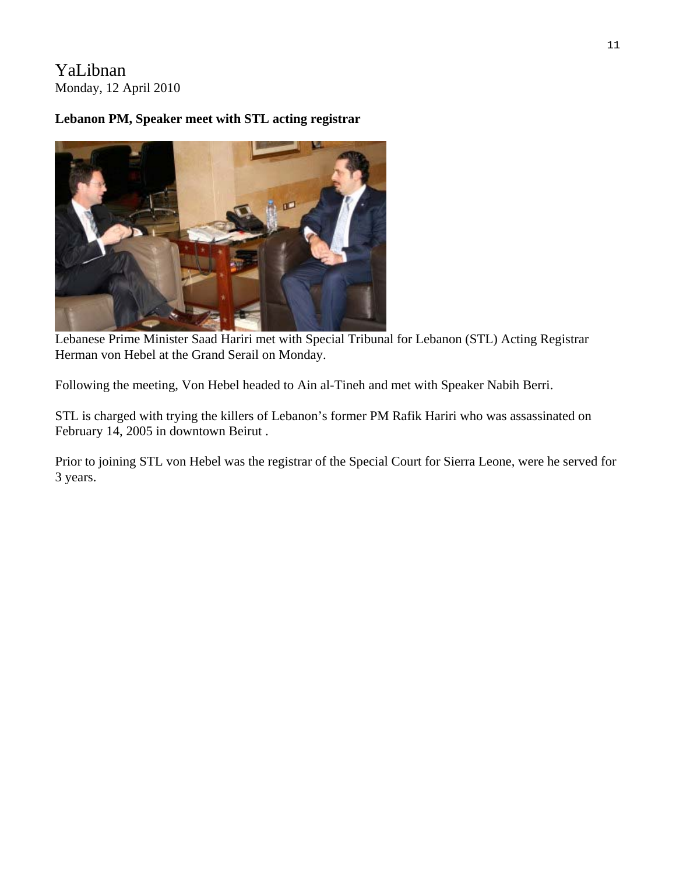# YaLibnan Monday, 12 April 2010

# **Lebanon PM, Speaker meet with STL acting registrar**



Lebanese Prime Minister Saad Hariri met with Special Tribunal for Lebanon (STL) Acting Registrar Herman von Hebel at the Grand Serail on Monday.

Following the meeting, Von Hebel headed to Ain al-Tineh and met with Speaker Nabih Berri.

STL is charged with trying the killers of Lebanon's former PM Rafik Hariri who was assassinated on February 14, 2005 in downtown Beirut .

Prior to joining STL von Hebel was the registrar of the Special Court for Sierra Leone, were he served for 3 years.